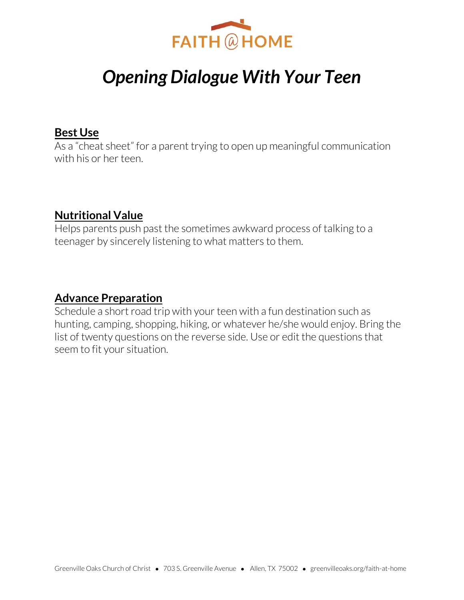

# *Opening Dialogue With Your Teen*

#### **Best Use**

As a "cheat sheet" for a parent trying to open up meaningful communication with his or her teen.

### **Nutritional Value**

Helps parents push past the sometimes awkward process of talking to a teenager by sincerely listening to what matters to them.

#### **Advance Preparation**

Schedule a short road trip with your teen with a fun destination such as hunting, camping, shopping, hiking, or whatever he/she would enjoy. Bring the list of twenty questions on the reverse side. Use or edit the questions that seem to fit your situation.